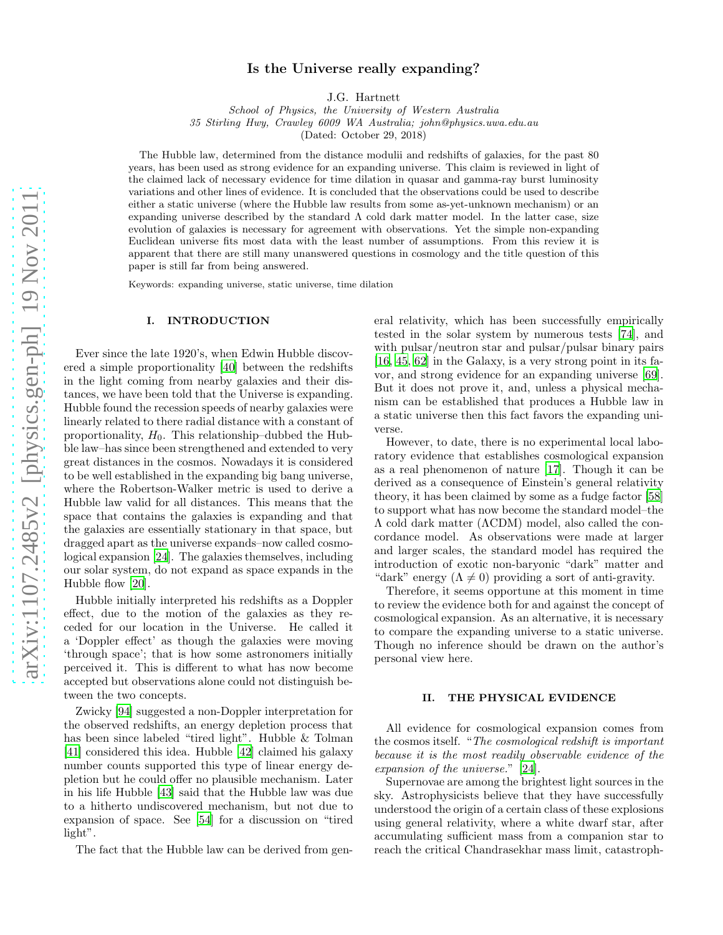# Is the Universe really expanding?

J.G. Hartnett

School of Physics, the University of Western Australia 35 Stirling Hwy, Crawley 6009 WA Australia; john@physics.uwa.edu.au

(Dated: October 29, 2018)

The Hubble law, determined from the distance modulii and redshifts of galaxies, for the past 80 years, has been used as strong evidence for an expanding universe. This claim is reviewed in light of the claimed lack of necessary evidence for time dilation in quasar and gamma-ray burst luminosity variations and other lines of evidence. It is concluded that the observations could be used to describe either a static universe (where the Hubble law results from some as-yet-unknown mechanism) or an expanding universe described by the standard  $\Lambda$  cold dark matter model. In the latter case, size evolution of galaxies is necessary for agreement with observations. Yet the simple non-expanding Euclidean universe fits most data with the least number of assumptions. From this review it is apparent that there are still many unanswered questions in cosmology and the title question of this paper is still far from being answered.

Keywords: expanding universe, static universe, time dilation

### I. INTRODUCTION

Ever since the late 1920's, when Edwin Hubble discovered a simple proportionality [\[40\]](#page-9-0) between the redshifts in the light coming from nearby galaxies and their distances, we have been told that the Universe is expanding. Hubble found the recession speeds of nearby galaxies were linearly related to there radial distance with a constant of proportionality,  $H_0$ . This relationship–dubbed the Hubble law–has since been strengthened and extended to very great distances in the cosmos. Nowadays it is considered to be well established in the expanding big bang universe, where the Robertson-Walker metric is used to derive a Hubble law valid for all distances. This means that the space that contains the galaxies is expanding and that the galaxies are essentially stationary in that space, but dragged apart as the universe expands–now called cosmological expansion [\[24\]](#page-9-1). The galaxies themselves, including our solar system, do not expand as space expands in the Hubble flow [\[20](#page-8-0)].

Hubble initially interpreted his redshifts as a Doppler effect, due to the motion of the galaxies as they receded for our location in the Universe. He called it a 'Doppler effect' as though the galaxies were moving 'through space'; that is how some astronomers initially perceived it. This is different to what has now become accepted but observations alone could not distinguish between the two concepts.

Zwicky [\[94](#page-10-0)] suggested a non-Doppler interpretation for the observed redshifts, an energy depletion process that has been since labeled "tired light". Hubble & Tolman [\[41\]](#page-9-2) considered this idea. Hubble [\[42\]](#page-9-3) claimed his galaxy number counts supported this type of linear energy depletion but he could offer no plausible mechanism. Later in his life Hubble [\[43\]](#page-9-4) said that the Hubble law was due to a hitherto undiscovered mechanism, but not due to expansion of space. See [\[54\]](#page-9-5) for a discussion on "tired light".

The fact that the Hubble law can be derived from gen-

eral relativity, which has been successfully empirically tested in the solar system by numerous tests [\[74\]](#page-10-1), and with pulsar/neutron star and pulsar/pulsar binary pairs [\[16,](#page-8-1) [45,](#page-9-6) [62](#page-10-2)] in the Galaxy, is a very strong point in its favor, and strong evidence for an expanding universe [\[69\]](#page-10-3). But it does not prove it, and, unless a physical mechanism can be established that produces a Hubble law in a static universe then this fact favors the expanding universe.

However, to date, there is no experimental local laboratory evidence that establishes cosmological expansion as a real phenomenon of nature [\[17\]](#page-8-2). Though it can be derived as a consequence of Einstein's general relativity theory, it has been claimed by some as a fudge factor [\[58](#page-10-4)] to support what has now become the standard model–the Λ cold dark matter (ΛCDM) model, also called the concordance model. As observations were made at larger and larger scales, the standard model has required the introduction of exotic non-baryonic "dark" matter and "dark" energy  $(\Lambda \neq 0)$  providing a sort of anti-gravity.

Therefore, it seems opportune at this moment in time to review the evidence both for and against the concept of cosmological expansion. As an alternative, it is necessary to compare the expanding universe to a static universe. Though no inference should be drawn on the author's personal view here.

#### II. THE PHYSICAL EVIDENCE

All evidence for cosmological expansion comes from the cosmos itself. "The cosmological redshift is important because it is the most readily observable evidence of the expansion of the universe." [\[24\]](#page-9-1).

Supernovae are among the brightest light sources in the sky. Astrophysicists believe that they have successfully understood the origin of a certain class of these explosions using general relativity, where a white dwarf star, after accumulating sufficient mass from a companion star to reach the critical Chandrasekhar mass limit, catastroph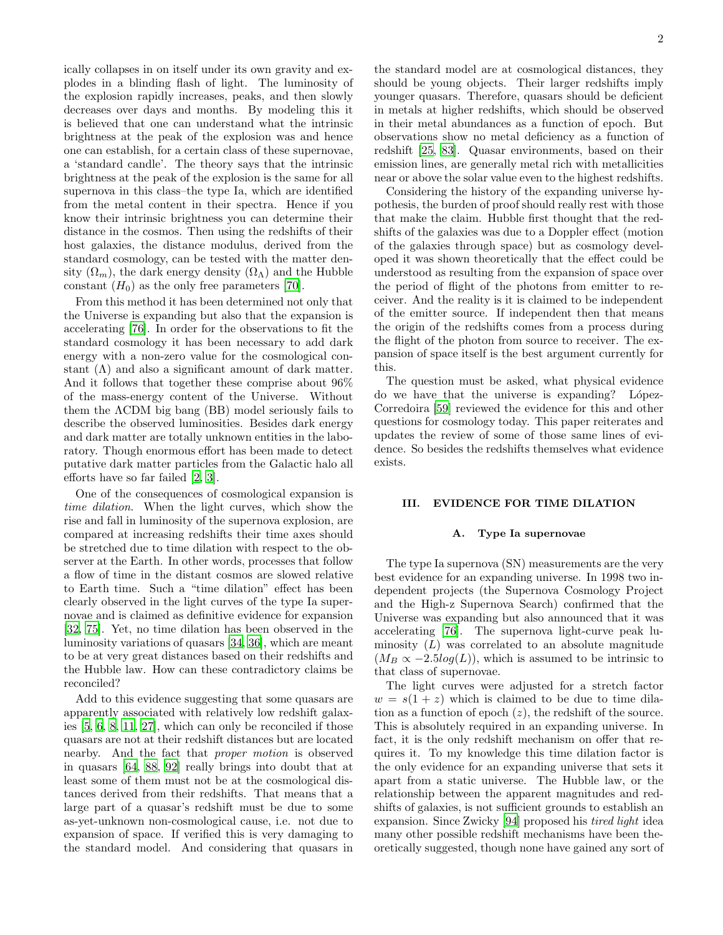ically collapses in on itself under its own gravity and explodes in a blinding flash of light. The luminosity of the explosion rapidly increases, peaks, and then slowly decreases over days and months. By modeling this it is believed that one can understand what the intrinsic brightness at the peak of the explosion was and hence one can establish, for a certain class of these supernovae, a 'standard candle'. The theory says that the intrinsic brightness at the peak of the explosion is the same for all supernova in this class–the type Ia, which are identified from the metal content in their spectra. Hence if you know their intrinsic brightness you can determine their distance in the cosmos. Then using the redshifts of their host galaxies, the distance modulus, derived from the standard cosmology, can be tested with the matter density  $(\Omega_m)$ , the dark energy density  $(\Omega_{\Lambda})$  and the Hubble constant  $(H_0)$  as the only free parameters [\[70\]](#page-10-5).

From this method it has been determined not only that the Universe is expanding but also that the expansion is accelerating [\[76\]](#page-10-6). In order for the observations to fit the standard cosmology it has been necessary to add dark energy with a non-zero value for the cosmological constant  $(\Lambda)$  and also a significant amount of dark matter. And it follows that together these comprise about 96% of the mass-energy content of the Universe. Without them the ΛCDM big bang (BB) model seriously fails to describe the observed luminosities. Besides dark energy and dark matter are totally unknown entities in the laboratory. Though enormous effort has been made to detect putative dark matter particles from the Galactic halo all efforts have so far failed [\[2](#page-8-3), [3](#page-8-4)].

One of the consequences of cosmological expansion is time dilation. When the light curves, which show the rise and fall in luminosity of the supernova explosion, are compared at increasing redshifts their time axes should be stretched due to time dilation with respect to the observer at the Earth. In other words, processes that follow a flow of time in the distant cosmos are slowed relative to Earth time. Such a "time dilation" effect has been clearly observed in the light curves of the type Ia supernovae and is claimed as definitive evidence for expansion [\[32,](#page-9-7) [75](#page-10-7)]. Yet, no time dilation has been observed in the luminosity variations of quasars [\[34](#page-9-8), [36\]](#page-9-9), which are meant to be at very great distances based on their redshifts and the Hubble law. How can these contradictory claims be reconciled?

Add to this evidence suggesting that some quasars are apparently associated with relatively low redshift galaxies [\[5](#page-8-5), [6](#page-8-6), [8](#page-8-7), [11](#page-8-8), [27](#page-9-10)], which can only be reconciled if those quasars are not at their redshift distances but are located nearby. And the fact that proper motion is observed in quasars [\[64](#page-10-8), [88](#page-10-9), [92](#page-10-10)] really brings into doubt that at least some of them must not be at the cosmological distances derived from their redshifts. That means that a large part of a quasar's redshift must be due to some as-yet-unknown non-cosmological cause, i.e. not due to expansion of space. If verified this is very damaging to the standard model. And considering that quasars in the standard model are at cosmological distances, they should be young objects. Their larger redshifts imply younger quasars. Therefore, quasars should be deficient in metals at higher redshifts, which should be observed in their metal abundances as a function of epoch. But observations show no metal deficiency as a function of redshift [\[25](#page-9-11), [83](#page-10-11)]. Quasar environments, based on their emission lines, are generally metal rich with metallicities near or above the solar value even to the highest redshifts.

Considering the history of the expanding universe hypothesis, the burden of proof should really rest with those that make the claim. Hubble first thought that the redshifts of the galaxies was due to a Doppler effect (motion of the galaxies through space) but as cosmology developed it was shown theoretically that the effect could be understood as resulting from the expansion of space over the period of flight of the photons from emitter to receiver. And the reality is it is claimed to be independent of the emitter source. If independent then that means the origin of the redshifts comes from a process during the flight of the photon from source to receiver. The expansion of space itself is the best argument currently for this.

The question must be asked, what physical evidence do we have that the universe is expanding? López-Corredoira [\[59\]](#page-10-12) reviewed the evidence for this and other questions for cosmology today. This paper reiterates and updates the review of some of those same lines of evidence. So besides the redshifts themselves what evidence exists.

# III. EVIDENCE FOR TIME DILATION

### A. Type Ia supernovae

The type Ia supernova (SN) measurements are the very best evidence for an expanding universe. In 1998 two independent projects (the Supernova Cosmology Project and the High-z Supernova Search) confirmed that the Universe was expanding but also announced that it was accelerating [\[76\]](#page-10-6). The supernova light-curve peak luminosity  $(L)$  was correlated to an absolute magnitude  $(M_B \propto -2.5 \log(L))$ , which is assumed to be intrinsic to that class of supernovae.

The light curves were adjusted for a stretch factor  $w = s(1 + z)$  which is claimed to be due to time dilation as a function of epoch  $(z)$ , the redshift of the source. This is absolutely required in an expanding universe. In fact, it is the only redshift mechanism on offer that requires it. To my knowledge this time dilation factor is the only evidence for an expanding universe that sets it apart from a static universe. The Hubble law, or the relationship between the apparent magnitudes and redshifts of galaxies, is not sufficient grounds to establish an expansion. Since Zwicky [\[94](#page-10-0)] proposed his tired light idea many other possible redshift mechanisms have been theoretically suggested, though none have gained any sort of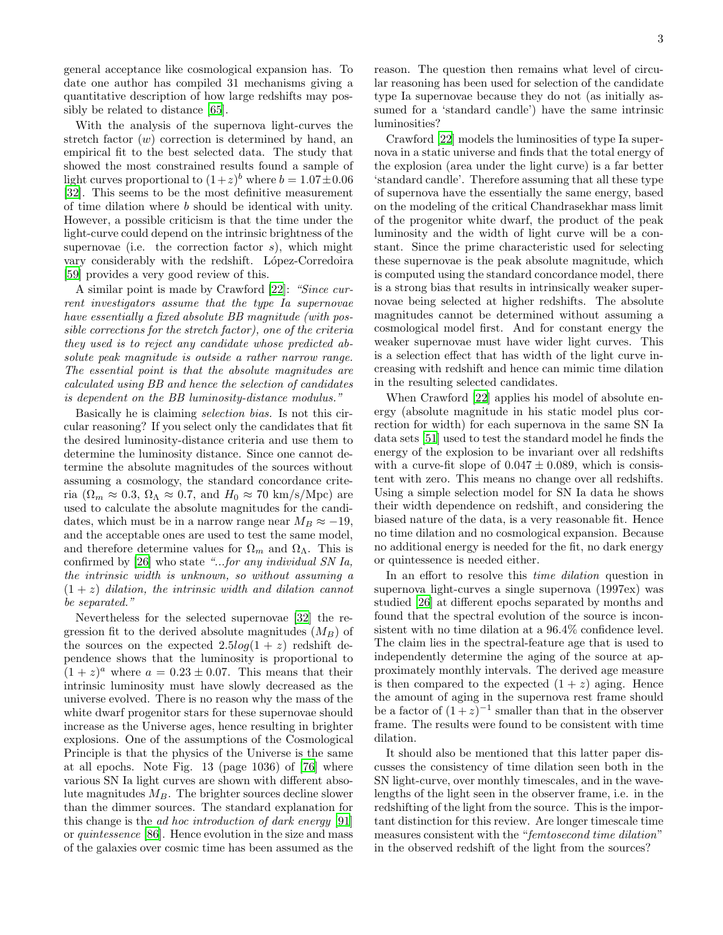general acceptance like cosmological expansion has. To date one author has compiled 31 mechanisms giving a quantitative description of how large redshifts may possibly be related to distance [\[65](#page-10-13)].

With the analysis of the supernova light-curves the stretch factor  $(w)$  correction is determined by hand, an empirical fit to the best selected data. The study that showed the most constrained results found a sample of light curves proportional to  $(1+z)^b$  where  $b = 1.07 \pm 0.06$ [\[32\]](#page-9-7). This seems to be the most definitive measurement of time dilation where b should be identical with unity. However, a possible criticism is that the time under the light-curve could depend on the intrinsic brightness of the supernovae (i.e. the correction factor  $s$ ), which might vary considerably with the redshift. López-Corredoira [\[59\]](#page-10-12) provides a very good review of this.

A similar point is made by Crawford [\[22\]](#page-8-9): "Since current investigators assume that the type Ia supernovae have essentially a fixed absolute BB magnitude (with possible corrections for the stretch factor), one of the criteria they used is to reject any candidate whose predicted absolute peak magnitude is outside a rather narrow range. The essential point is that the absolute magnitudes are calculated using BB and hence the selection of candidates is dependent on the BB luminosity-distance modulus."

Basically he is claiming selection bias. Is not this circular reasoning? If you select only the candidates that fit the desired luminosity-distance criteria and use them to determine the luminosity distance. Since one cannot determine the absolute magnitudes of the sources without assuming a cosmology, the standard concordance criteria ( $\Omega_m \approx 0.3$ ,  $\Omega_{\Lambda} \approx 0.7$ , and  $H_0 \approx 70 \text{ km/s/Mpc}$ ) are used to calculate the absolute magnitudes for the candidates, which must be in a narrow range near  $M_B \approx -19$ , and the acceptable ones are used to test the same model, and therefore determine values for  $\Omega_m$  and  $\Omega_{\Lambda}$ . This is confirmed by [\[26\]](#page-9-12) who state "...for any individual SN Ia, the intrinsic width is unknown, so without assuming a  $(1 + z)$  dilation, the intrinsic width and dilation cannot be separated."

Nevertheless for the selected supernovae [\[32\]](#page-9-7) the regression fit to the derived absolute magnitudes  $(M_B)$  of the sources on the expected  $2.5log(1 + z)$  redshift dependence shows that the luminosity is proportional to  $(1+z)^a$  where  $a = 0.23 \pm 0.07$ . This means that their intrinsic luminosity must have slowly decreased as the universe evolved. There is no reason why the mass of the white dwarf progenitor stars for these supernovae should increase as the Universe ages, hence resulting in brighter explosions. One of the assumptions of the Cosmological Principle is that the physics of the Universe is the same at all epochs. Note Fig. 13 (page 1036) of [\[76\]](#page-10-6) where various SN Ia light curves are shown with different absolute magnitudes  $M_B$ . The brighter sources decline slower than the dimmer sources. The standard explanation for this change is the ad hoc introduction of dark energy [\[91](#page-10-14)] or quintessence [\[86\]](#page-10-15). Hence evolution in the size and mass of the galaxies over cosmic time has been assumed as the reason. The question then remains what level of circular reasoning has been used for selection of the candidate type Ia supernovae because they do not (as initially assumed for a 'standard candle') have the same intrinsic luminosities?

Crawford [\[22\]](#page-8-9) models the luminosities of type Ia supernova in a static universe and finds that the total energy of the explosion (area under the light curve) is a far better 'standard candle'. Therefore assuming that all these type of supernova have the essentially the same energy, based on the modeling of the critical Chandrasekhar mass limit of the progenitor white dwarf, the product of the peak luminosity and the width of light curve will be a constant. Since the prime characteristic used for selecting these supernovae is the peak absolute magnitude, which is computed using the standard concordance model, there is a strong bias that results in intrinsically weaker supernovae being selected at higher redshifts. The absolute magnitudes cannot be determined without assuming a cosmological model first. And for constant energy the weaker supernovae must have wider light curves. This is a selection effect that has width of the light curve increasing with redshift and hence can mimic time dilation in the resulting selected candidates.

When Crawford [\[22\]](#page-8-9) applies his model of absolute energy (absolute magnitude in his static model plus correction for width) for each supernova in the same SN Ia data sets [\[51](#page-9-13)] used to test the standard model he finds the energy of the explosion to be invariant over all redshifts with a curve-fit slope of  $0.047 \pm 0.089$ , which is consistent with zero. This means no change over all redshifts. Using a simple selection model for SN Ia data he shows their width dependence on redshift, and considering the biased nature of the data, is a very reasonable fit. Hence no time dilation and no cosmological expansion. Because no additional energy is needed for the fit, no dark energy or quintessence is needed either.

In an effort to resolve this *time dilation* question in supernova light-curves a single supernova (1997ex) was studied [\[26](#page-9-12)] at different epochs separated by months and found that the spectral evolution of the source is inconsistent with no time dilation at a 96.4% confidence level. The claim lies in the spectral-feature age that is used to independently determine the aging of the source at approximately monthly intervals. The derived age measure is then compared to the expected  $(1 + z)$  aging. Hence the amount of aging in the supernova rest frame should be a factor of  $(1+z)^{-1}$  smaller than that in the observer frame. The results were found to be consistent with time dilation.

It should also be mentioned that this latter paper discusses the consistency of time dilation seen both in the SN light-curve, over monthly timescales, and in the wavelengths of the light seen in the observer frame, i.e. in the redshifting of the light from the source. This is the important distinction for this review. Are longer timescale time measures consistent with the "femtosecond time dilation" in the observed redshift of the light from the sources?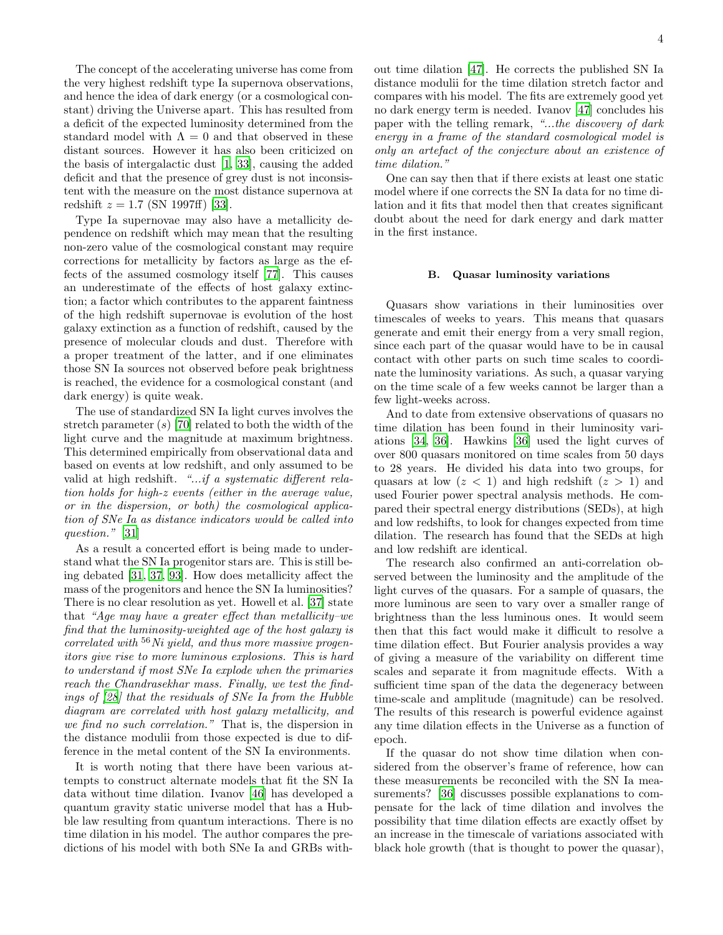The concept of the accelerating universe has come from the very highest redshift type Ia supernova observations, and hence the idea of dark energy (or a cosmological constant) driving the Universe apart. This has resulted from a deficit of the expected luminosity determined from the standard model with  $\Lambda = 0$  and that observed in these distant sources. However it has also been criticized on the basis of intergalactic dust [\[1,](#page-8-10) [33\]](#page-9-14), causing the added deficit and that the presence of grey dust is not inconsistent with the measure on the most distance supernova at redshift  $z = 1.7$  (SN 1997ff) [\[33\]](#page-9-14).

Type Ia supernovae may also have a metallicity dependence on redshift which may mean that the resulting non-zero value of the cosmological constant may require corrections for metallicity by factors as large as the effects of the assumed cosmology itself [\[77\]](#page-10-16). This causes an underestimate of the effects of host galaxy extinction; a factor which contributes to the apparent faintness of the high redshift supernovae is evolution of the host galaxy extinction as a function of redshift, caused by the presence of molecular clouds and dust. Therefore with a proper treatment of the latter, and if one eliminates those SN Ia sources not observed before peak brightness is reached, the evidence for a cosmological constant (and dark energy) is quite weak.

The use of standardized SN Ia light curves involves the stretch parameter  $(s)$  [\[70](#page-10-5)] related to both the width of the light curve and the magnitude at maximum brightness. This determined empirically from observational data and based on events at low redshift, and only assumed to be valid at high redshift. "...if a systematic different relation holds for high-z events (either in the average value, or in the dispersion, or both) the cosmological application of SNe Ia as distance indicators would be called into question." [\[31\]](#page-9-15)

As a result a concerted effort is being made to understand what the SN Ia progenitor stars are. This is still being debated [\[31](#page-9-15), [37](#page-9-16), [93](#page-10-17)]. How does metallicity affect the mass of the progenitors and hence the SN Ia luminosities? There is no clear resolution as yet. Howell et al. [\[37\]](#page-9-16) state that "Age may have a greater effect than metallicity–we find that the luminosity-weighted age of the host galaxy is correlated with  $56$  Ni yield, and thus more massive progenitors give rise to more luminous explosions. This is hard to understand if most SNe Ia explode when the primaries reach the Chandrasekhar mass. Finally, we test the findings of [\[28\]](#page-9-17) that the residuals of SNe Ia from the Hubble diagram are correlated with host galaxy metallicity, and we find no such correlation." That is, the dispersion in the distance modulii from those expected is due to difference in the metal content of the SN Ia environments.

It is worth noting that there have been various attempts to construct alternate models that fit the SN Ia data without time dilation. Ivanov [\[46](#page-9-18)] has developed a quantum gravity static universe model that has a Hubble law resulting from quantum interactions. There is no time dilation in his model. The author compares the predictions of his model with both SNe Ia and GRBs without time dilation [\[47](#page-9-19)]. He corrects the published SN Ia distance modulii for the time dilation stretch factor and compares with his model. The fits are extremely good yet no dark energy term is needed. Ivanov [\[47\]](#page-9-19) concludes his paper with the telling remark, "...the discovery of dark energy in a frame of the standard cosmological model is only an artefact of the conjecture about an existence of time dilation."

One can say then that if there exists at least one static model where if one corrects the SN Ia data for no time dilation and it fits that model then that creates significant doubt about the need for dark energy and dark matter in the first instance.

### B. Quasar luminosity variations

Quasars show variations in their luminosities over timescales of weeks to years. This means that quasars generate and emit their energy from a very small region, since each part of the quasar would have to be in causal contact with other parts on such time scales to coordinate the luminosity variations. As such, a quasar varying on the time scale of a few weeks cannot be larger than a few light-weeks across.

And to date from extensive observations of quasars no time dilation has been found in their luminosity variations [\[34,](#page-9-8) [36](#page-9-9)]. Hawkins [\[36](#page-9-9)] used the light curves of over 800 quasars monitored on time scales from 50 days to 28 years. He divided his data into two groups, for quasars at low  $(z < 1)$  and high redshift  $(z > 1)$  and used Fourier power spectral analysis methods. He compared their spectral energy distributions (SEDs), at high and low redshifts, to look for changes expected from time dilation. The research has found that the SEDs at high and low redshift are identical.

The research also confirmed an anti-correlation observed between the luminosity and the amplitude of the light curves of the quasars. For a sample of quasars, the more luminous are seen to vary over a smaller range of brightness than the less luminous ones. It would seem then that this fact would make it difficult to resolve a time dilation effect. But Fourier analysis provides a way of giving a measure of the variability on different time scales and separate it from magnitude effects. With a sufficient time span of the data the degeneracy between time-scale and amplitude (magnitude) can be resolved. The results of this research is powerful evidence against any time dilation effects in the Universe as a function of epoch.

If the quasar do not show time dilation when considered from the observer's frame of reference, how can these measurements be reconciled with the SN Ia measurements? [\[36\]](#page-9-9) discusses possible explanations to compensate for the lack of time dilation and involves the possibility that time dilation effects are exactly offset by an increase in the timescale of variations associated with black hole growth (that is thought to power the quasar),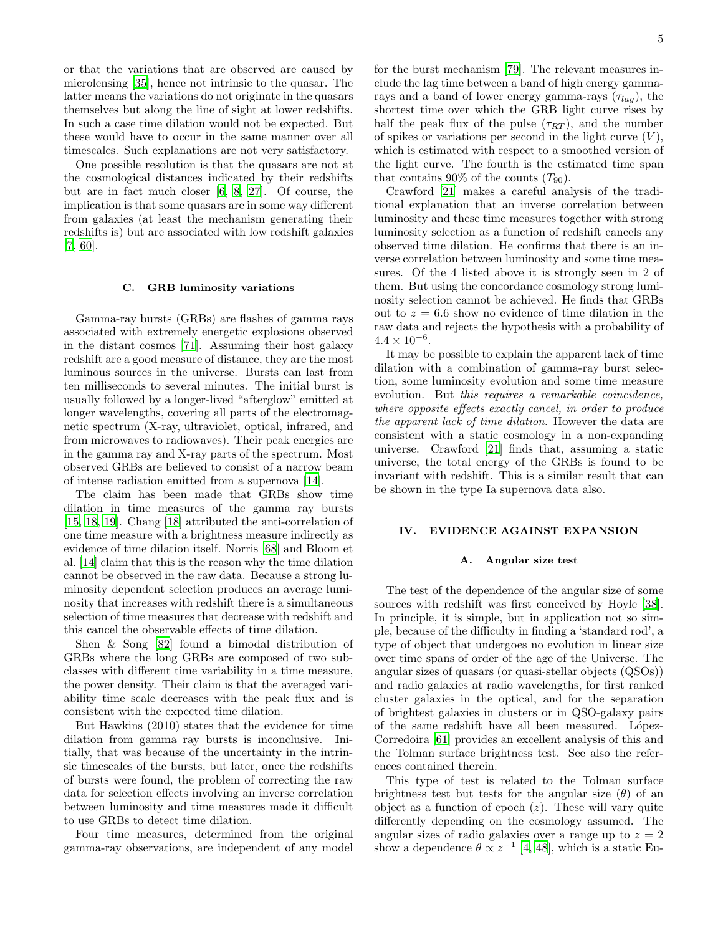or that the variations that are observed are caused by microlensing [\[35](#page-9-20)], hence not intrinsic to the quasar. The latter means the variations do not originate in the quasars themselves but along the line of sight at lower redshifts. In such a case time dilation would not be expected. But these would have to occur in the same manner over all timescales. Such explanations are not very satisfactory.

One possible resolution is that the quasars are not at the cosmological distances indicated by their redshifts but are in fact much closer [\[6,](#page-8-6) [8](#page-8-7), [27\]](#page-9-10). Of course, the implication is that some quasars are in some way different from galaxies (at least the mechanism generating their redshifts is) but are associated with low redshift galaxies [\[7,](#page-8-11) [60\]](#page-10-18).

### C. GRB luminosity variations

Gamma-ray bursts (GRBs) are flashes of gamma rays associated with extremely energetic explosions observed in the distant cosmos [\[71\]](#page-10-19). Assuming their host galaxy redshift are a good measure of distance, they are the most luminous sources in the universe. Bursts can last from ten milliseconds to several minutes. The initial burst is usually followed by a longer-lived "afterglow" emitted at longer wavelengths, covering all parts of the electromagnetic spectrum (X-ray, ultraviolet, optical, infrared, and from microwaves to radiowaves). Their peak energies are in the gamma ray and X-ray parts of the spectrum. Most observed GRBs are believed to consist of a narrow beam of intense radiation emitted from a supernova [\[14\]](#page-8-12).

The claim has been made that GRBs show time dilation in time measures of the gamma ray bursts [\[15,](#page-8-13) [18](#page-8-14), [19](#page-8-15)]. Chang [\[18\]](#page-8-14) attributed the anti-correlation of one time measure with a brightness measure indirectly as evidence of time dilation itself. Norris [\[68](#page-10-20)] and Bloom et al. [\[14\]](#page-8-12) claim that this is the reason why the time dilation cannot be observed in the raw data. Because a strong luminosity dependent selection produces an average luminosity that increases with redshift there is a simultaneous selection of time measures that decrease with redshift and this cancel the observable effects of time dilation.

Shen & Song [\[82\]](#page-10-21) found a bimodal distribution of GRBs where the long GRBs are composed of two subclasses with different time variability in a time measure, the power density. Their claim is that the averaged variability time scale decreases with the peak flux and is consistent with the expected time dilation.

But Hawkins (2010) states that the evidence for time dilation from gamma ray bursts is inconclusive. Initially, that was because of the uncertainty in the intrinsic timescales of the bursts, but later, once the redshifts of bursts were found, the problem of correcting the raw data for selection effects involving an inverse correlation between luminosity and time measures made it difficult to use GRBs to detect time dilation.

Four time measures, determined from the original gamma-ray observations, are independent of any model for the burst mechanism [\[79\]](#page-10-22). The relevant measures include the lag time between a band of high energy gammarays and a band of lower energy gamma-rays  $(\tau_{lag})$ , the shortest time over which the GRB light curve rises by half the peak flux of the pulse  $(\tau_{RT})$ , and the number of spikes or variations per second in the light curve  $(V)$ , which is estimated with respect to a smoothed version of the light curve. The fourth is the estimated time span that contains 90% of the counts  $(T_{90})$ .

Crawford [\[21\]](#page-8-16) makes a careful analysis of the traditional explanation that an inverse correlation between luminosity and these time measures together with strong luminosity selection as a function of redshift cancels any observed time dilation. He confirms that there is an inverse correlation between luminosity and some time measures. Of the 4 listed above it is strongly seen in 2 of them. But using the concordance cosmology strong luminosity selection cannot be achieved. He finds that GRBs out to  $z = 6.6$  show no evidence of time dilation in the raw data and rejects the hypothesis with a probability of  $4.4 \times 10^{-6}$ .

It may be possible to explain the apparent lack of time dilation with a combination of gamma-ray burst selection, some luminosity evolution and some time measure evolution. But this requires a remarkable coincidence, where opposite effects exactly cancel, in order to produce the apparent lack of time dilation. However the data are consistent with a static cosmology in a non-expanding universe. Crawford [\[21](#page-8-16)] finds that, assuming a static universe, the total energy of the GRBs is found to be invariant with redshift. This is a similar result that can be shown in the type Ia supernova data also.

### IV. EVIDENCE AGAINST EXPANSION

#### A. Angular size test

The test of the dependence of the angular size of some sources with redshift was first conceived by Hoyle [\[38\]](#page-9-21). In principle, it is simple, but in application not so simple, because of the difficulty in finding a 'standard rod', a type of object that undergoes no evolution in linear size over time spans of order of the age of the Universe. The angular sizes of quasars (or quasi-stellar objects (QSOs)) and radio galaxies at radio wavelengths, for first ranked cluster galaxies in the optical, and for the separation of brightest galaxies in clusters or in QSO-galaxy pairs of the same redshift have all been measured. López-Corredoira [\[61](#page-10-23)] provides an excellent analysis of this and the Tolman surface brightness test. See also the references contained therein.

This type of test is related to the Tolman surface brightness test but tests for the angular size  $(\theta)$  of an object as a function of epoch  $(z)$ . These will vary quite differently depending on the cosmology assumed. The angular sizes of radio galaxies over a range up to  $z = 2$ show a dependence  $\theta \propto z^{-1}$  [\[4](#page-8-17), [48](#page-9-22)], which is a static Eu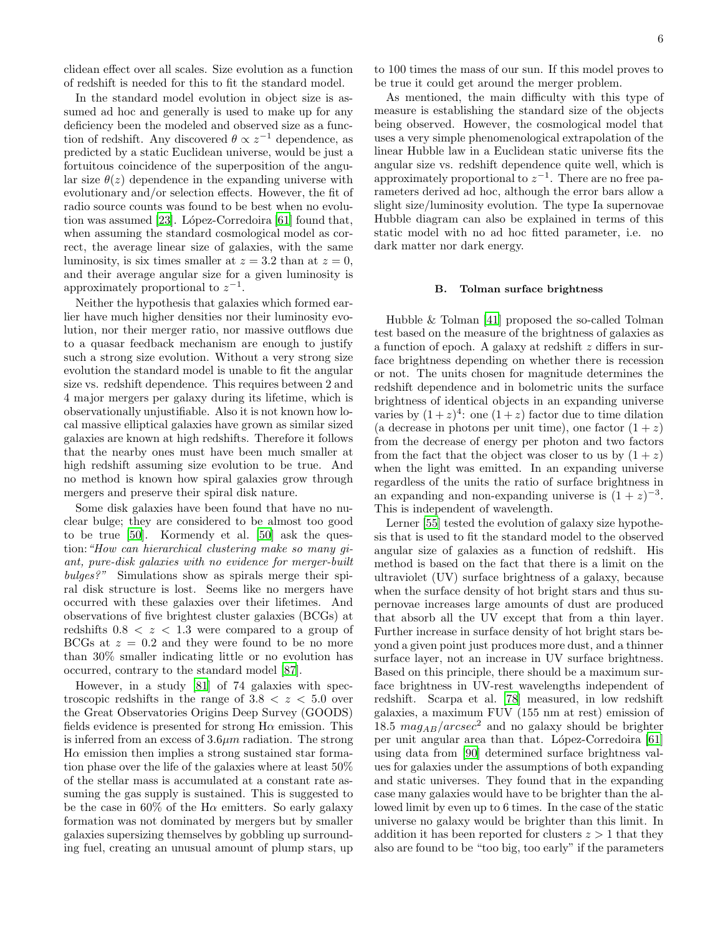clidean effect over all scales. Size evolution as a function of redshift is needed for this to fit the standard model.

In the standard model evolution in object size is assumed ad hoc and generally is used to make up for any deficiency been the modeled and observed size as a function of redshift. Any discovered  $\theta \propto z^{-1}$  dependence, as predicted by a static Euclidean universe, would be just a fortuitous coincidence of the superposition of the angular size  $\theta(z)$  dependence in the expanding universe with evolutionary and/or selection effects. However, the fit of radio source counts was found to be best when no evolution was assumed  $[23]$ . López-Corredoira  $[61]$  found that, when assuming the standard cosmological model as correct, the average linear size of galaxies, with the same luminosity, is six times smaller at  $z = 3.2$  than at  $z = 0$ , and their average angular size for a given luminosity is approximately proportional to  $z^{-1}$ .

Neither the hypothesis that galaxies which formed earlier have much higher densities nor their luminosity evolution, nor their merger ratio, nor massive outflows due to a quasar feedback mechanism are enough to justify such a strong size evolution. Without a very strong size evolution the standard model is unable to fit the angular size vs. redshift dependence. This requires between 2 and 4 major mergers per galaxy during its lifetime, which is observationally unjustifiable. Also it is not known how local massive elliptical galaxies have grown as similar sized galaxies are known at high redshifts. Therefore it follows that the nearby ones must have been much smaller at high redshift assuming size evolution to be true. And no method is known how spiral galaxies grow through mergers and preserve their spiral disk nature.

Some disk galaxies have been found that have no nuclear bulge; they are considered to be almost too good to be true [\[50\]](#page-9-23). Kormendy et al. [\[50\]](#page-9-23) ask the question:"How can hierarchical clustering make so many giant, pure-disk galaxies with no evidence for merger-built bulges?" Simulations show as spirals merge their spiral disk structure is lost. Seems like no mergers have occurred with these galaxies over their lifetimes. And observations of five brightest cluster galaxies (BCGs) at redshifts  $0.8 < z < 1.3$  were compared to a group of BCGs at  $z = 0.2$  and they were found to be no more than 30% smaller indicating little or no evolution has occurred, contrary to the standard model [\[87\]](#page-10-24).

However, in a study [\[81\]](#page-10-25) of 74 galaxies with spectroscopic redshifts in the range of  $3.8 < z < 5.0$  over the Great Observatories Origins Deep Survey (GOODS) fields evidence is presented for strong  $H\alpha$  emission. This is inferred from an excess of  $3.6\mu m$  radiation. The strong  $H\alpha$  emission then implies a strong sustained star formation phase over the life of the galaxies where at least 50% of the stellar mass is accumulated at a constant rate assuming the gas supply is sustained. This is suggested to be the case in  $60\%$  of the H $\alpha$  emitters. So early galaxy formation was not dominated by mergers but by smaller galaxies supersizing themselves by gobbling up surrounding fuel, creating an unusual amount of plump stars, up

to 100 times the mass of our sun. If this model proves to be true it could get around the merger problem.

As mentioned, the main difficulty with this type of measure is establishing the standard size of the objects being observed. However, the cosmological model that uses a very simple phenomenological extrapolation of the linear Hubble law in a Euclidean static universe fits the angular size vs. redshift dependence quite well, which is approximately proportional to  $z^{-1}$ . There are no free parameters derived ad hoc, although the error bars allow a slight size/luminosity evolution. The type Ia supernovae Hubble diagram can also be explained in terms of this static model with no ad hoc fitted parameter, i.e. no dark matter nor dark energy.

### B. Tolman surface brightness

Hubble & Tolman [\[41](#page-9-2)] proposed the so-called Tolman test based on the measure of the brightness of galaxies as a function of epoch. A galaxy at redshift z differs in surface brightness depending on whether there is recession or not. The units chosen for magnitude determines the redshift dependence and in bolometric units the surface brightness of identical objects in an expanding universe varies by  $(1+z)^4$ : one  $(1+z)$  factor due to time dilation (a decrease in photons per unit time), one factor  $(1 + z)$ from the decrease of energy per photon and two factors from the fact that the object was closer to us by  $(1 + z)$ when the light was emitted. In an expanding universe regardless of the units the ratio of surface brightness in an expanding and non-expanding universe is  $(1 + z)^{-3}$ . This is independent of wavelength.

Lerner [\[55\]](#page-9-24) tested the evolution of galaxy size hypothesis that is used to fit the standard model to the observed angular size of galaxies as a function of redshift. His method is based on the fact that there is a limit on the ultraviolet (UV) surface brightness of a galaxy, because when the surface density of hot bright stars and thus supernovae increases large amounts of dust are produced that absorb all the UV except that from a thin layer. Further increase in surface density of hot bright stars beyond a given point just produces more dust, and a thinner surface layer, not an increase in UV surface brightness. Based on this principle, there should be a maximum surface brightness in UV-rest wavelengths independent of redshift. Scarpa et al. [\[78\]](#page-10-26) measured, in low redshift galaxies, a maximum FUV (155 nm at rest) emission of 18.5  $mag_{AB}/arcsec^2$  and no galaxy should be brighter per unit angular area than that. López-Corredoira [\[61](#page-10-23)] using data from [\[90](#page-10-27)] determined surface brightness values for galaxies under the assumptions of both expanding and static universes. They found that in the expanding case many galaxies would have to be brighter than the allowed limit by even up to 6 times. In the case of the static universe no galaxy would be brighter than this limit. In addition it has been reported for clusters  $z > 1$  that they also are found to be "too big, too early" if the parameters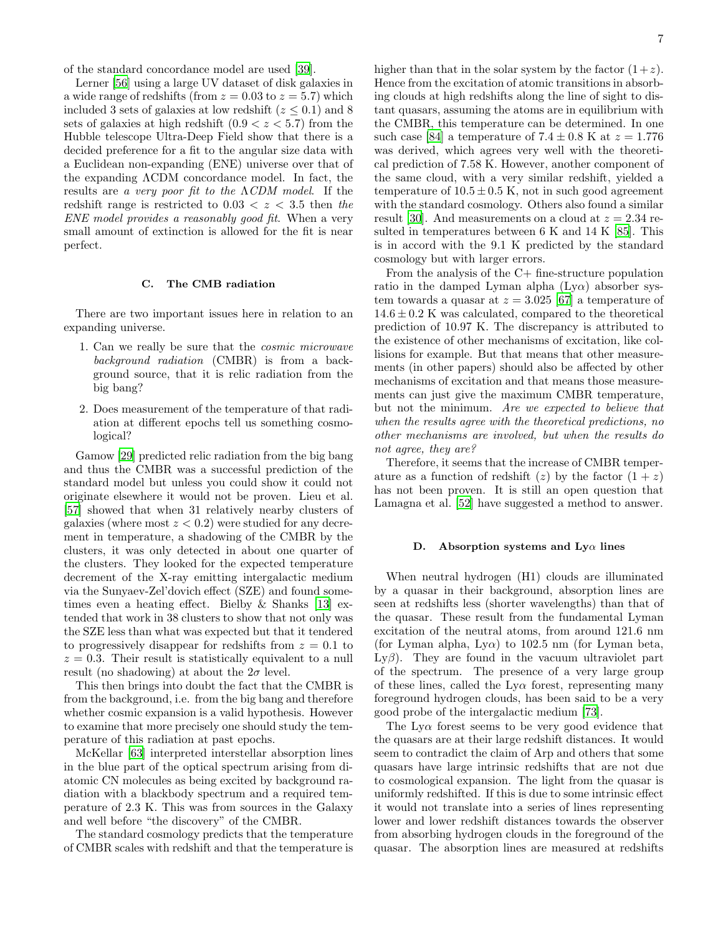of the standard concordance model are used [\[39](#page-9-25)].

Lerner [\[56\]](#page-10-28) using a large UV dataset of disk galaxies in a wide range of redshifts (from  $z = 0.03$  to  $z = 5.7$ ) which included 3 sets of galaxies at low redshift ( $z \leq 0.1$ ) and 8 sets of galaxies at high redshift  $(0.9 < z < 5.7)$  from the Hubble telescope Ultra-Deep Field show that there is a decided preference for a fit to the angular size data with a Euclidean non-expanding (ENE) universe over that of the expanding ΛCDM concordance model. In fact, the results are a very poor fit to the  $\Lambda CDM$  model. If the redshift range is restricted to  $0.03 < z < 3.5$  then the ENE model provides a reasonably good fit. When a very small amount of extinction is allowed for the fit is near perfect.

# C. The CMB radiation

There are two important issues here in relation to an expanding universe.

- 1. Can we really be sure that the cosmic microwave background radiation (CMBR) is from a background source, that it is relic radiation from the big bang?
- 2. Does measurement of the temperature of that radiation at different epochs tell us something cosmological?

Gamow [\[29](#page-9-26)] predicted relic radiation from the big bang and thus the CMBR was a successful prediction of the standard model but unless you could show it could not originate elsewhere it would not be proven. Lieu et al. [\[57\]](#page-10-29) showed that when 31 relatively nearby clusters of galaxies (where most  $z < 0.2$ ) were studied for any decrement in temperature, a shadowing of the CMBR by the clusters, it was only detected in about one quarter of the clusters. They looked for the expected temperature decrement of the X-ray emitting intergalactic medium via the Sunyaev-Zel'dovich effect (SZE) and found sometimes even a heating effect. Bielby & Shanks [\[13\]](#page-8-19) extended that work in 38 clusters to show that not only was the SZE less than what was expected but that it tendered to progressively disappear for redshifts from  $z = 0.1$  to  $z = 0.3$ . Their result is statistically equivalent to a null result (no shadowing) at about the  $2\sigma$  level.

This then brings into doubt the fact that the CMBR is from the background, i.e. from the big bang and therefore whether cosmic expansion is a valid hypothesis. However to examine that more precisely one should study the temperature of this radiation at past epochs.

McKellar [\[63\]](#page-10-30) interpreted interstellar absorption lines in the blue part of the optical spectrum arising from diatomic CN molecules as being excited by background radiation with a blackbody spectrum and a required temperature of 2.3 K. This was from sources in the Galaxy and well before "the discovery" of the CMBR.

The standard cosmology predicts that the temperature of CMBR scales with redshift and that the temperature is higher than that in the solar system by the factor  $(1+z)$ . Hence from the excitation of atomic transitions in absorbing clouds at high redshifts along the line of sight to distant quasars, assuming the atoms are in equilibrium with the CMBR, this temperature can be determined. In one such case [\[84\]](#page-10-31) a temperature of  $7.4 \pm 0.8$  K at  $z = 1.776$ was derived, which agrees very well with the theoretical prediction of 7.58 K. However, another component of the same cloud, with a very similar redshift, yielded a temperature of  $10.5 \pm 0.5$  K, not in such good agreement with the standard cosmology. Others also found a similar result [\[30](#page-9-27)]. And measurements on a cloud at  $z = 2.34$  resulted in temperatures between 6 K and 14 K [\[85\]](#page-10-32). This is in accord with the 9.1 K predicted by the standard cosmology but with larger errors.

From the analysis of the C+ fine-structure population ratio in the damped Lyman alpha  $(Ly\alpha)$  absorber system towards a quasar at  $z = 3.025$  [\[67](#page-10-33)] a temperature of  $14.6 \pm 0.2$  K was calculated, compared to the theoretical prediction of 10.97 K. The discrepancy is attributed to the existence of other mechanisms of excitation, like collisions for example. But that means that other measurements (in other papers) should also be affected by other mechanisms of excitation and that means those measurements can just give the maximum CMBR temperature, but not the minimum. Are we expected to believe that when the results agree with the theoretical predictions, no other mechanisms are involved, but when the results do not agree, they are?

Therefore, it seems that the increase of CMBR temperature as a function of redshift (z) by the factor  $(1 + z)$ has not been proven. It is still an open question that Lamagna et al. [\[52\]](#page-9-28) have suggested a method to answer.

### D. Absorption systems and  $Ly\alpha$  lines

When neutral hydrogen (H1) clouds are illuminated by a quasar in their background, absorption lines are seen at redshifts less (shorter wavelengths) than that of the quasar. These result from the fundamental Lyman excitation of the neutral atoms, from around 121.6 nm (for Lyman alpha, Ly $\alpha$ ) to 102.5 nm (for Lyman beta, Ly $\beta$ ). They are found in the vacuum ultraviolet part of the spectrum. The presence of a very large group of these lines, called the  $Ly\alpha$  forest, representing many foreground hydrogen clouds, has been said to be a very good probe of the intergalactic medium [\[73\]](#page-10-34).

The  $Ly\alpha$  forest seems to be very good evidence that the quasars are at their large redshift distances. It would seem to contradict the claim of Arp and others that some quasars have large intrinsic redshifts that are not due to cosmological expansion. The light from the quasar is uniformly redshifted. If this is due to some intrinsic effect it would not translate into a series of lines representing lower and lower redshift distances towards the observer from absorbing hydrogen clouds in the foreground of the quasar. The absorption lines are measured at redshifts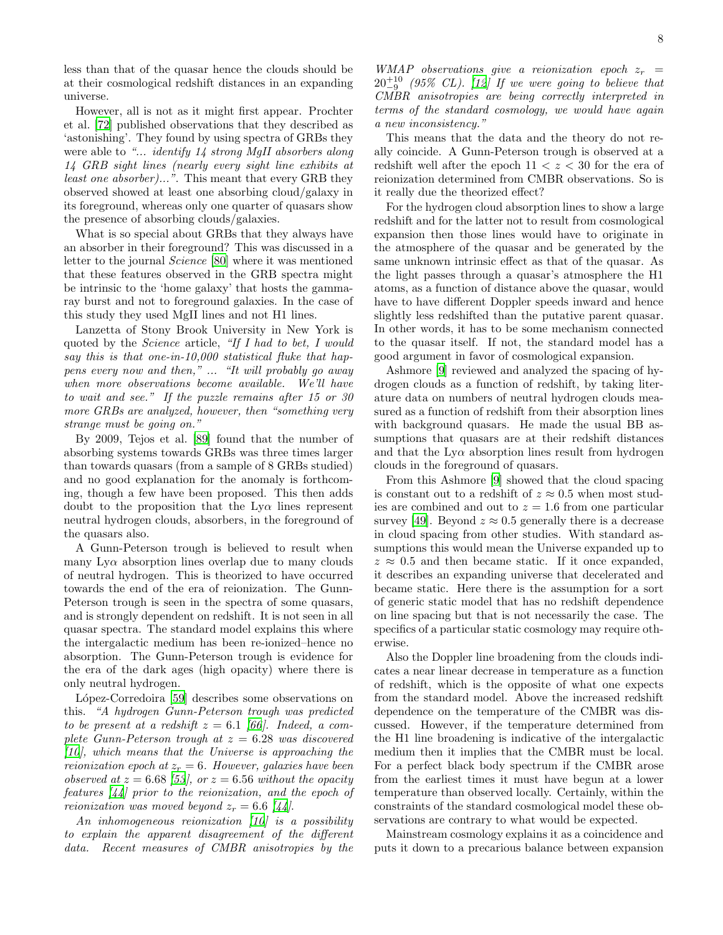less than that of the quasar hence the clouds should be at their cosmological redshift distances in an expanding universe.

However, all is not as it might first appear. Prochter et al. [\[72\]](#page-10-35) published observations that they described as 'astonishing'. They found by using spectra of GRBs they were able to "... *identify* 14 strong MgII absorbers along 14 GRB sight lines (nearly every sight line exhibits at least one absorber)...". This meant that every GRB they observed showed at least one absorbing cloud/galaxy in its foreground, whereas only one quarter of quasars show the presence of absorbing clouds/galaxies.

What is so special about GRBs that they always have an absorber in their foreground? This was discussed in a letter to the journal Science [\[80](#page-10-36)] where it was mentioned that these features observed in the GRB spectra might be intrinsic to the 'home galaxy' that hosts the gammaray burst and not to foreground galaxies. In the case of this study they used MgII lines and not H1 lines.

Lanzetta of Stony Brook University in New York is quoted by the Science article, "If I had to bet, I would say this is that one-in-10,000 statistical fluke that happens every now and then," ... "It will probably go away when more observations become available. We'll have to wait and see." If the puzzle remains after 15 or 30 more GRBs are analyzed, however, then "something very strange must be going on."

By 2009, Tejos et al. [\[89](#page-10-37)] found that the number of absorbing systems towards GRBs was three times larger than towards quasars (from a sample of 8 GRBs studied) and no good explanation for the anomaly is forthcoming, though a few have been proposed. This then adds doubt to the proposition that the  $Ly\alpha$  lines represent neutral hydrogen clouds, absorbers, in the foreground of the quasars also.

A Gunn-Peterson trough is believed to result when many  $Ly\alpha$  absorption lines overlap due to many clouds of neutral hydrogen. This is theorized to have occurred towards the end of the era of reionization. The Gunn-Peterson trough is seen in the spectra of some quasars, and is strongly dependent on redshift. It is not seen in all quasar spectra. The standard model explains this where the intergalactic medium has been re-ionized–hence no absorption. The Gunn-Peterson trough is evidence for the era of the dark ages (high opacity) where there is only neutral hydrogen.

López-Corredoira [\[59](#page-10-12)] describes some observations on this. "A hydrogen Gunn-Peterson trough was predicted to be present at a redshift  $z = 6.1$  [\[66\]](#page-10-38). Indeed, a complete Gunn-Peterson trough at  $z = 6.28$  was discovered  $[10]$  $[10]$ , which means that the Universe is approaching the reionization epoch at  $z_r = 6$ . However, galaxies have been observed at  $z = 6.68$  [\[53](#page-9-29)], or  $z = 6.56$  without the opacity features [\[44\]](#page-9-30) prior to the reionization, and the epoch of reionization was moved beyond  $z_r = 6.6$  [\[44](#page-9-30)].

An inhomogeneous reionization [\[10\]](#page-8-20) is a possibility to explain the apparent disagreement of the different data. Recent measures of CMBR anisotropies by the

WMAP observations give a reionization epoch  $z_r =$  $20^{+10}_{-9}$  (95% CL). [\[12\]](#page-8-21) If we were going to believe that CMBR anisotropies are being correctly interpreted in terms of the standard cosmology, we would have again a new inconsistency."

This means that the data and the theory do not really coincide. A Gunn-Peterson trough is observed at a redshift well after the epoch  $11 < z < 30$  for the era of reionization determined from CMBR observations. So is it really due the theorized effect?

For the hydrogen cloud absorption lines to show a large redshift and for the latter not to result from cosmological expansion then those lines would have to originate in the atmosphere of the quasar and be generated by the same unknown intrinsic effect as that of the quasar. As the light passes through a quasar's atmosphere the H1 atoms, as a function of distance above the quasar, would have to have different Doppler speeds inward and hence slightly less redshifted than the putative parent quasar. In other words, it has to be some mechanism connected to the quasar itself. If not, the standard model has a good argument in favor of cosmological expansion.

Ashmore [\[9\]](#page-8-22) reviewed and analyzed the spacing of hydrogen clouds as a function of redshift, by taking literature data on numbers of neutral hydrogen clouds measured as a function of redshift from their absorption lines with background quasars. He made the usual BB assumptions that quasars are at their redshift distances and that the  $Ly\alpha$  absorption lines result from hydrogen clouds in the foreground of quasars.

From this Ashmore [\[9\]](#page-8-22) showed that the cloud spacing is constant out to a redshift of  $z \approx 0.5$  when most studies are combined and out to  $z = 1.6$  from one particular survey [\[49\]](#page-9-31). Beyond  $z \approx 0.5$  generally there is a decrease in cloud spacing from other studies. With standard assumptions this would mean the Universe expanded up to  $z \approx 0.5$  and then became static. If it once expanded, it describes an expanding universe that decelerated and became static. Here there is the assumption for a sort of generic static model that has no redshift dependence on line spacing but that is not necessarily the case. The specifics of a particular static cosmology may require otherwise.

Also the Doppler line broadening from the clouds indicates a near linear decrease in temperature as a function of redshift, which is the opposite of what one expects from the standard model. Above the increased redshift dependence on the temperature of the CMBR was discussed. However, if the temperature determined from the H1 line broadening is indicative of the intergalactic medium then it implies that the CMBR must be local. For a perfect black body spectrum if the CMBR arose from the earliest times it must have begun at a lower temperature than observed locally. Certainly, within the constraints of the standard cosmological model these observations are contrary to what would be expected.

Mainstream cosmology explains it as a coincidence and puts it down to a precarious balance between expansion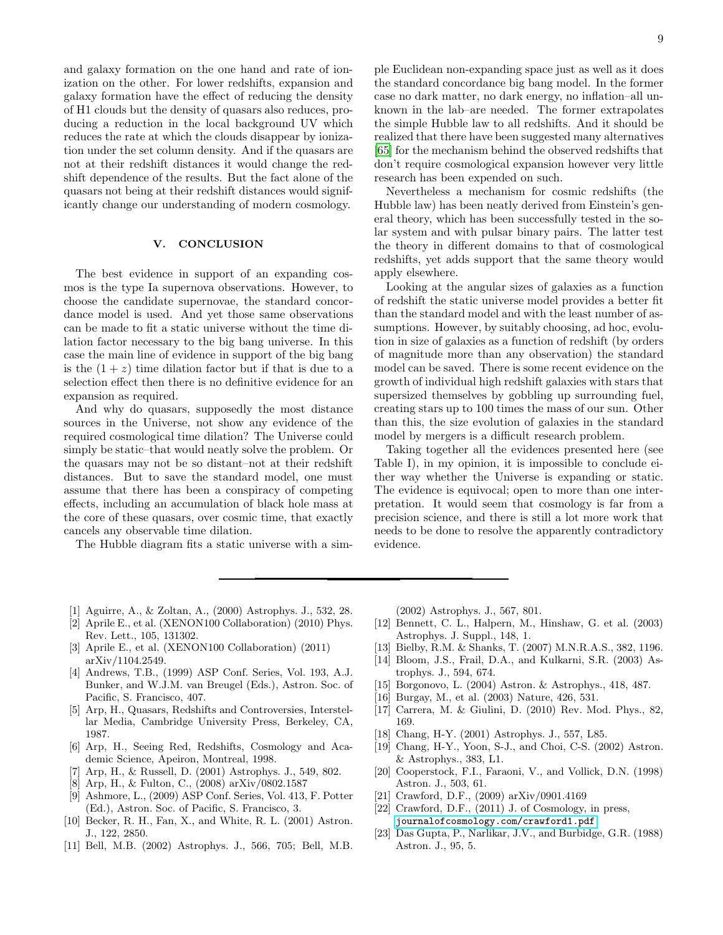and galaxy formation on the one hand and rate of ionization on the other. For lower redshifts, expansion and galaxy formation have the effect of reducing the density of H1 clouds but the density of quasars also reduces, producing a reduction in the local background UV which reduces the rate at which the clouds disappear by ionization under the set column density. And if the quasars are not at their redshift distances it would change the redshift dependence of the results. But the fact alone of the quasars not being at their redshift distances would significantly change our understanding of modern cosmology.

# V. CONCLUSION

The best evidence in support of an expanding cosmos is the type Ia supernova observations. However, to choose the candidate supernovae, the standard concordance model is used. And yet those same observations can be made to fit a static universe without the time dilation factor necessary to the big bang universe. In this case the main line of evidence in support of the big bang is the  $(1 + z)$  time dilation factor but if that is due to a selection effect then there is no definitive evidence for an expansion as required.

And why do quasars, supposedly the most distance sources in the Universe, not show any evidence of the required cosmological time dilation? The Universe could simply be static–that would neatly solve the problem. Or the quasars may not be so distant–not at their redshift distances. But to save the standard model, one must assume that there has been a conspiracy of competing effects, including an accumulation of black hole mass at the core of these quasars, over cosmic time, that exactly cancels any observable time dilation.

The Hubble diagram fits a static universe with a sim-

ple Euclidean non-expanding space just as well as it does the standard concordance big bang model. In the former case no dark matter, no dark energy, no inflation–all unknown in the lab–are needed. The former extrapolates the simple Hubble law to all redshifts. And it should be realized that there have been suggested many alternatives [\[65\]](#page-10-13) for the mechanism behind the observed redshifts that don't require cosmological expansion however very little research has been expended on such.

Nevertheless a mechanism for cosmic redshifts (the Hubble law) has been neatly derived from Einstein's general theory, which has been successfully tested in the solar system and with pulsar binary pairs. The latter test the theory in different domains to that of cosmological redshifts, yet adds support that the same theory would apply elsewhere.

Looking at the angular sizes of galaxies as a function of redshift the static universe model provides a better fit than the standard model and with the least number of assumptions. However, by suitably choosing, ad hoc, evolution in size of galaxies as a function of redshift (by orders of magnitude more than any observation) the standard model can be saved. There is some recent evidence on the growth of individual high redshift galaxies with stars that supersized themselves by gobbling up surrounding fuel, creating stars up to 100 times the mass of our sun. Other than this, the size evolution of galaxies in the standard model by mergers is a difficult research problem.

Taking together all the evidences presented here (see Table I), in my opinion, it is impossible to conclude either way whether the Universe is expanding or static. The evidence is equivocal; open to more than one interpretation. It would seem that cosmology is far from a precision science, and there is still a lot more work that needs to be done to resolve the apparently contradictory evidence.

- <span id="page-8-10"></span>[1] Aguirre, A., & Zoltan, A., (2000) Astrophys. J., 532, 28.
- <span id="page-8-3"></span>[2] Aprile E., et al. (XENON100 Collaboration) (2010) Phys. Rev. Lett., 105, 131302.
- <span id="page-8-4"></span>[3] Aprile E., et al. (XENON100 Collaboration) (2011) arXiv/1104.2549.
- <span id="page-8-17"></span>[4] Andrews, T.B., (1999) ASP Conf. Series, Vol. 193, A.J. Bunker, and W.J.M. van Breugel (Eds.), Astron. Soc. of Pacific, S. Francisco, 407.
- <span id="page-8-5"></span>[5] Arp, H., Quasars, Redshifts and Controversies, Interstellar Media, Cambridge University Press, Berkeley, CA, 1987.
- <span id="page-8-6"></span>[6] Arp, H., Seeing Red, Redshifts, Cosmology and Academic Science, Apeiron, Montreal, 1998.
- <span id="page-8-11"></span>[7] Arp, H., & Russell, D. (2001) Astrophys. J., 549, 802.
- <span id="page-8-7"></span>[8] Arp, H., & Fulton, C., (2008) arXiv/0802.1587
- <span id="page-8-22"></span>[9] Ashmore, L., (2009) ASP Conf. Series, Vol. 413, F. Potter (Ed.), Astron. Soc. of Pacific, S. Francisco, 3.
- <span id="page-8-20"></span>[10] Becker, R. H., Fan, X., and White, R. L. (2001) Astron. J., 122, 2850.
- <span id="page-8-8"></span>[11] Bell, M.B. (2002) Astrophys. J., 566, 705; Bell, M.B.

(2002) Astrophys. J., 567, 801.

- <span id="page-8-21"></span>[12] Bennett, C. L., Halpern, M., Hinshaw, G. et al. (2003) Astrophys. J. Suppl., 148, 1.
- <span id="page-8-19"></span>[13] Bielby, R.M. & Shanks, T. (2007) M.N.R.A.S., 382, 1196.
- <span id="page-8-12"></span>[14] Bloom, J.S., Frail, D.A., and Kulkarni, S.R. (2003) Astrophys. J., 594, 674.
- <span id="page-8-13"></span>[15] Borgonovo, L. (2004) Astron. & Astrophys., 418, 487.
- <span id="page-8-1"></span>[16] Burgay, M., et al. (2003) Nature, 426, 531.
- <span id="page-8-2"></span>[17] Carrera, M. & Giulini, D. (2010) Rev. Mod. Phys., 82, 169.
- <span id="page-8-14"></span>[18] Chang, H-Y. (2001) Astrophys. J., 557, L85.
- <span id="page-8-15"></span>[19] Chang, H-Y., Yoon, S-J., and Choi, C-S. (2002) Astron. & Astrophys., 383, L1.
- <span id="page-8-0"></span>[20] Cooperstock, F.I., Faraoni, V., and Vollick, D.N. (1998) Astron. J., 503, 61.
- <span id="page-8-16"></span>[21] Crawford, D.F., (2009) arXiv/0901.4169
- <span id="page-8-9"></span>[22] Crawford, D.F., (2011) J. of Cosmology, in press, <journalofcosmology.com/crawford1.pdf>
- <span id="page-8-18"></span>[23] Das Gupta, P., Narlikar, J.V., and Burbidge, G.R. (1988) Astron. J., 95, 5.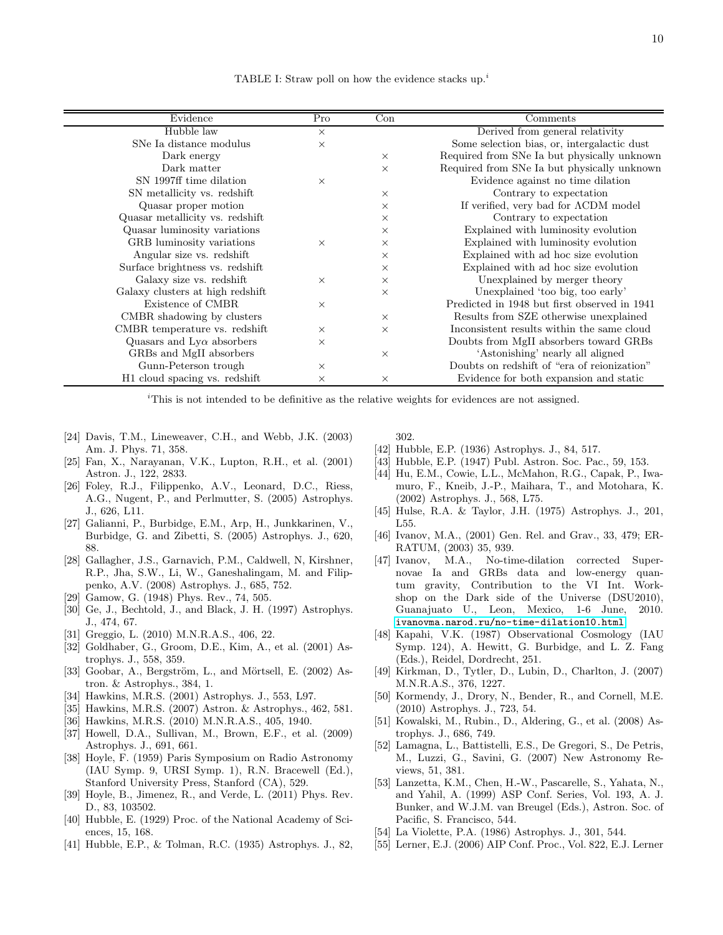TABLE I: Straw poll on how the evidence stacks  $up^{i}$ .

| Evidence                         | Pro      | Con      | Comments                                     |
|----------------------------------|----------|----------|----------------------------------------------|
| Hubble law                       | $\times$ |          | Derived from general relativity              |
| SNe Ia distance modulus          | $\times$ |          | Some selection bias, or, intergalactic dust  |
| Dark energy                      |          | $\times$ | Required from SNe Ia but physically unknown  |
| Dark matter                      |          | $\times$ | Required from SNe Ia but physically unknown  |
| SN 1997ff time dilation          | $\times$ |          | Evidence against no time dilation            |
| SN metallicity vs. redshift      |          | $\times$ | Contrary to expectation                      |
| Quasar proper motion             |          | $\times$ | If verified, very bad for ACDM model         |
| Quasar metallicity vs. redshift  |          | $\times$ | Contrary to expectation                      |
| Quasar luminosity variations     |          | $\times$ | Explained with luminosity evolution          |
| GRB luminosity variations        | $\times$ | $\times$ | Explained with luminosity evolution          |
| Angular size vs. redshift        |          | $\times$ | Explained with ad hoc size evolution         |
| Surface brightness vs. redshift  |          | $\times$ | Explained with ad hoc size evolution         |
| Galaxy size vs. redshift         | $\times$ | $\times$ | Unexplained by merger theory                 |
| Galaxy clusters at high redshift |          | $\times$ | Unexplained 'too big, too early'             |
| Existence of CMBR                | $\times$ |          | Predicted in 1948 but first observed in 1941 |
| CMBR shadowing by clusters       |          | $\times$ | Results from SZE otherwise unexplained       |
| CMBR temperature vs. redshift    | $\times$ | $\times$ | Inconsistent results within the same cloud   |
| Quasars and $Ly\alpha$ absorbers | $\times$ |          | Doubts from MgII absorbers toward GRBs       |
| GRBs and MgII absorbers          |          | $\times$ | 'Astonishing' nearly all aligned             |
| Gunn-Peterson trough             | $\times$ |          | Doubts on redshift of "era of reionization"  |
| H1 cloud spacing vs. redshift    | X        | $\times$ | Evidence for both expansion and static       |

<sup>*i*</sup>This is not intended to be definitive as the relative weights for evidences are not assigned.

- <span id="page-9-1"></span>[24] Davis, T.M., Lineweaver, C.H., and Webb, J.K. (2003) Am. J. Phys. 71, 358.
- <span id="page-9-11"></span>[25] Fan, X., Narayanan, V.K., Lupton, R.H., et al. (2001) Astron. J., 122, 2833.
- <span id="page-9-12"></span>[26] Foley, R.J., Filippenko, A.V., Leonard, D.C., Riess, A.G., Nugent, P., and Perlmutter, S. (2005) Astrophys. J., 626, L11.
- <span id="page-9-10"></span>[27] Galianni, P., Burbidge, E.M., Arp, H., Junkkarinen, V., Burbidge, G. and Zibetti, S. (2005) Astrophys. J., 620, 88.
- <span id="page-9-17"></span>[28] Gallagher, J.S., Garnavich, P.M., Caldwell, N, Kirshner, R.P., Jha, S.W., Li, W., Ganeshalingam, M. and Filippenko, A.V. (2008) Astrophys. J., 685, 752.
- <span id="page-9-26"></span>[29] Gamow, G. (1948) Phys. Rev., 74, 505.
- <span id="page-9-27"></span>[30] Ge, J., Bechtold, J., and Black, J. H. (1997) Astrophys. J., 474, 67.
- <span id="page-9-15"></span>[31] Greggio, L. (2010) M.N.R.A.S., 406, 22.
- <span id="page-9-7"></span>[32] Goldhaber, G., Groom, D.E., Kim, A., et al. (2001) Astrophys. J., 558, 359.
- <span id="page-9-14"></span>[33] Goobar, A., Bergström, L., and Mörtsell, E.  $(2002)$  Astron. & Astrophys., 384, 1.
- <span id="page-9-8"></span>[34] Hawkins, M.R.S. (2001) Astrophys. J., 553, L97.
- <span id="page-9-20"></span>[35] Hawkins, M.R.S. (2007) Astron. & Astrophys., 462, 581.
- <span id="page-9-9"></span>[36] Hawkins, M.R.S. (2010) M.N.R.A.S., 405, 1940.
- <span id="page-9-16"></span>[37] Howell, D.A., Sullivan, M., Brown, E.F., et al. (2009) Astrophys. J., 691, 661.
- <span id="page-9-21"></span>[38] Hoyle, F. (1959) Paris Symposium on Radio Astronomy (IAU Symp. 9, URSI Symp. 1), R.N. Bracewell (Ed.), Stanford University Press, Stanford (CA), 529.
- <span id="page-9-25"></span>[39] Hoyle, B., Jimenez, R., and Verde, L. (2011) Phys. Rev. D., 83, 103502.
- <span id="page-9-0"></span>[40] Hubble, E. (1929) Proc. of the National Academy of Sciences, 15, 168.
- <span id="page-9-2"></span>[41] Hubble, E.P., & Tolman, R.C. (1935) Astrophys. J., 82,

302.

- <span id="page-9-3"></span>[42] Hubble, E.P. (1936) Astrophys. J., 84, 517.
- <span id="page-9-4"></span>[43] Hubble, E.P. (1947) Publ. Astron. Soc. Pac., 59, 153.
- <span id="page-9-30"></span>[44] Hu, E.M., Cowie, L.L., McMahon, R.G., Capak, P., Iwamuro, F., Kneib, J.-P., Maihara, T., and Motohara, K. (2002) Astrophys. J., 568, L75.
- <span id="page-9-6"></span>[45] Hulse, R.A. & Taylor, J.H. (1975) Astrophys. J., 201, L55.
- <span id="page-9-18"></span>[46] Ivanov, M.A., (2001) Gen. Rel. and Grav., 33, 479; ER-RATUM, (2003) 35, 939.
- <span id="page-9-19"></span>[47] Ivanov, M.A., No-time-dilation corrected Supernovae Ia and GRBs data and low-energy quantum gravity, Contribution to the VI Int. Workshop on the Dark side of the Universe (DSU2010), Guanajuato U., Leon, Mexico, 1-6 June, 2010. <ivanovma.narod.ru/no-time-dilation10.html>
- <span id="page-9-22"></span>[48] Kapahi, V.K. (1987) Observational Cosmology (IAU Symp. 124), A. Hewitt, G. Burbidge, and L. Z. Fang (Eds.), Reidel, Dordrecht, 251.
- <span id="page-9-31"></span>[49] Kirkman, D., Tytler, D., Lubin, D., Charlton, J. (2007) M.N.R.A.S., 376, 1227.
- <span id="page-9-23"></span>[50] Kormendy, J., Drory, N., Bender, R., and Cornell, M.E. (2010) Astrophys. J., 723, 54.
- <span id="page-9-13"></span>[51] Kowalski, M., Rubin., D., Aldering, G., et al. (2008) Astrophys. J., 686, 749.
- <span id="page-9-28"></span>[52] Lamagna, L., Battistelli, E.S., De Gregori, S., De Petris, M., Luzzi, G., Savini, G. (2007) New Astronomy Reviews, 51, 381.
- <span id="page-9-29"></span>[53] Lanzetta, K.M., Chen, H.-W., Pascarelle, S., Yahata, N., and Yahil, A. (1999) ASP Conf. Series, Vol. 193, A. J. Bunker, and W.J.M. van Breugel (Eds.), Astron. Soc. of Pacific, S. Francisco, 544.
- <span id="page-9-5"></span>[54] La Violette, P.A. (1986) Astrophys. J., 301, 544.
- <span id="page-9-24"></span>[55] Lerner, E.J. (2006) AIP Conf. Proc., Vol. 822, E.J. Lerner